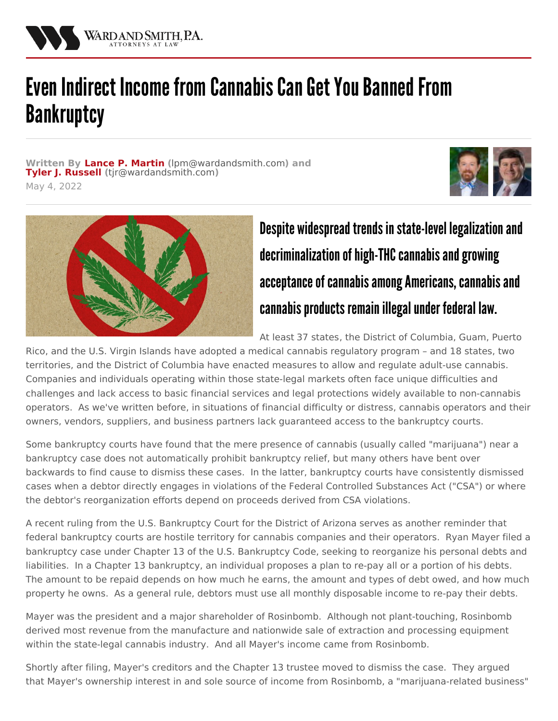

## Even Indirect Income from Cannabis Can Get You Banned From **Bankruptcy**

**Written By Lance P. [Martin](/attorneys/lance-martin) (**[lpm@wardandsmith.com](mailto:lpm@wardandsmith.com)**) and Tyler J. [Russell](/attorneys/tyler-russell) (**[tjr@wardandsmith.com](mailto:tjr@wardandsmith.com)**)** May 4, 2022





## Despite widespread trends in state-level legalization and decriminalization of high-THC cannabis and growing acceptance of cannabis among Americans, cannabis and cannabis products remain illegal under federal law.

At least 37 [states](https://www.ncsl.org/research/health/state-medical-marijuana-laws.aspx), the District of Columbia, Guam, Puerto

Rico, and the U.S. Virgin Islands have adopted a medical cannabis regulatory program – and 18 states, two territories, and the District of Columbia have enacted measures to allow and regulate adult-use cannabis. Companies and individuals operating within those state-legal markets often face unique difficulties and challenges and lack access to basic financial services and legal protections widely available to non-cannabis operators. As we've [written](/articles/are-the-bankruptcy-courts-available-for-the-cannabis-industry) before, in situations of financial difficulty or distress, cannabis operators and their owners, vendors, suppliers, and business partners lack guaranteed access to the bankruptcy courts.

Some bankruptcy courts have found that the mere presence of cannabis (usually called "marijuana") near a bankruptcy case does not automatically prohibit bankruptcy relief, but many others have bent over backwards to find cause to dismiss these cases. In the latter, bankruptcy courts have consistently dismissed cases when a debtor directly engages in violations of the Federal Controlled Substances Act ("CSA") or where the debtor's reorganization efforts depend on proceeds derived from CSA violations.

A recent ruling from the U.S. Bankruptcy Court for the District of Arizona serves as another reminder that federal bankruptcy courts are hostile territory for cannabis companies and their operators. Ryan Mayer filed a bankruptcy case under Chapter 13 of the U.S. Bankruptcy Code, seeking to reorganize his personal debts and liabilities. In a Chapter 13 bankruptcy, an individual proposes a plan to re-pay all or a portion of his debts. The amount to be repaid depends on how much he earns, the amount and types of debt owed, and how much property he owns. As a general rule, debtors must use all monthly disposable income to re-pay their debts.

Mayer was the president and a major shareholder of Rosinbomb. Although not plant-touching, Rosinbomb derived most revenue from the manufacture and nationwide sale of extraction and processing equipment within the state-legal cannabis industry. And all Mayer's income came from Rosinbomb.

Shortly after filing, Mayer's creditors and the Chapter 13 trustee moved to dismiss the case. They argued that Mayer's ownership interest in and sole source of income from Rosinbomb, a "marijuana-related business"